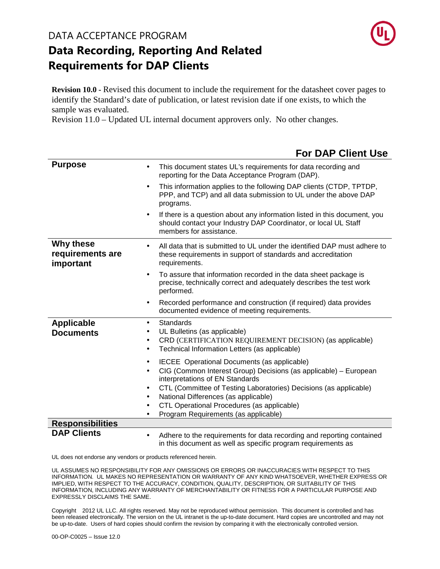#### DATA ACCEPTANCE PROGRAM



## **Data Recording, Reporting And Related Requirements for DAP Clients**

**Revision 10.0 -** Revised this document to include the requirement for the datasheet cover pages to identify the Standard's date of publication, or latest revision date if one exists, to which the sample was evaluated.

Revision 11.0 – Updated UL internal document approvers only. No other changes.

|                                            | <b>For DAP Client Use</b>                                                                                                                                                                                                                                                                                                                                                                              |
|--------------------------------------------|--------------------------------------------------------------------------------------------------------------------------------------------------------------------------------------------------------------------------------------------------------------------------------------------------------------------------------------------------------------------------------------------------------|
| <b>Purpose</b>                             | This document states UL's requirements for data recording and<br>$\bullet$<br>reporting for the Data Acceptance Program (DAP).                                                                                                                                                                                                                                                                         |
|                                            | This information applies to the following DAP clients (CTDP, TPTDP,<br>$\bullet$<br>PPP, and TCP) and all data submission to UL under the above DAP<br>programs.                                                                                                                                                                                                                                       |
|                                            | If there is a question about any information listed in this document, you<br>$\bullet$<br>should contact your Industry DAP Coordinator, or local UL Staff<br>members for assistance.                                                                                                                                                                                                                   |
| Why these<br>requirements are<br>important | All data that is submitted to UL under the identified DAP must adhere to<br>$\bullet$<br>these requirements in support of standards and accreditation<br>requirements.                                                                                                                                                                                                                                 |
|                                            | To assure that information recorded in the data sheet package is<br>$\bullet$<br>precise, technically correct and adequately describes the test work<br>performed.                                                                                                                                                                                                                                     |
|                                            | Recorded performance and construction (if required) data provides<br>$\bullet$<br>documented evidence of meeting requirements.                                                                                                                                                                                                                                                                         |
| <b>Applicable</b><br><b>Documents</b>      | Standards<br>$\bullet$<br>UL Bulletins (as applicable)<br>CRD (CERTIFICATION REQUIREMENT DECISION) (as applicable)<br>$\bullet$<br>Technical Information Letters (as applicable)<br>$\bullet$                                                                                                                                                                                                          |
|                                            | IECEE Operational Documents (as applicable)<br>$\bullet$<br>CIG (Common Interest Group) Decisions (as applicable) - European<br>$\bullet$<br>interpretations of EN Standards<br>CTL (Committee of Testing Laboratories) Decisions (as applicable)<br>٠<br>National Differences (as applicable)<br>٠<br>CTL Operational Procedures (as applicable)<br>$\bullet$<br>Program Requirements (as applicable) |
| <b>Responsibilities</b>                    |                                                                                                                                                                                                                                                                                                                                                                                                        |
| <b>DAP Clients</b>                         | Adhere to the requirements for data recording and reporting contained<br>in this document as well as specific program requirements as                                                                                                                                                                                                                                                                  |

UL does not endorse any vendors or products referenced herein.

UL ASSUMES NO RESPONSIBILITY FOR ANY OMISSIONS OR ERRORS OR INACCURACIES WITH RESPECT TO THIS INFORMATION. UL MAKES NO REPRESENTATION OR WARRANTY OF ANY KIND WHATSOEVER, WHETHER EXPRESS OR IMPLIED, WITH RESPECT TO THE ACCURACY, CONDITION, QUALITY, DESCRIPTION, OR SUITABILITY OF THIS INFORMATION, INCLUDING ANY WARRANTY OF MERCHANTABILITY OR FITNESS FOR A PARTICULAR PURPOSE AND EXPRESSLY DISCLAIMS THE SAME.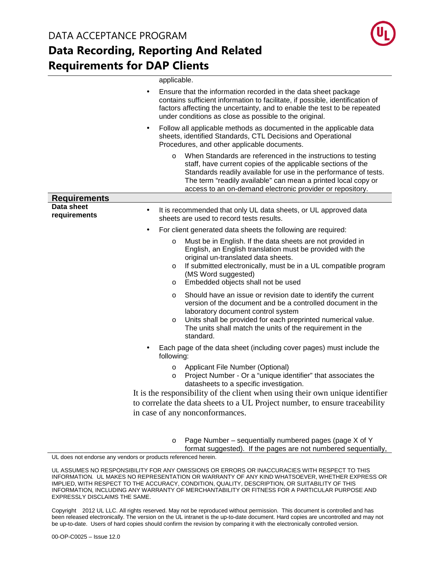

|                            | applicable.                                                                                                                                                                                                                                                                                                                               |  |  |  |
|----------------------------|-------------------------------------------------------------------------------------------------------------------------------------------------------------------------------------------------------------------------------------------------------------------------------------------------------------------------------------------|--|--|--|
|                            | Ensure that the information recorded in the data sheet package<br>$\bullet$<br>contains sufficient information to facilitate, if possible, identification of<br>factors affecting the uncertainty, and to enable the test to be repeated<br>under conditions as close as possible to the original.                                        |  |  |  |
|                            | Follow all applicable methods as documented in the applicable data<br>$\bullet$<br>sheets, identified Standards, CTL Decisions and Operational<br>Procedures, and other applicable documents.                                                                                                                                             |  |  |  |
|                            | When Standards are referenced in the instructions to testing<br>$\circ$<br>staff, have current copies of the applicable sections of the<br>Standards readily available for use in the performance of tests.<br>The term "readily available" can mean a printed local copy or<br>access to an on-demand electronic provider or repository. |  |  |  |
| <b>Requirements</b>        |                                                                                                                                                                                                                                                                                                                                           |  |  |  |
| Data sheet<br>requirements | It is recommended that only UL data sheets, or UL approved data<br>$\bullet$<br>sheets are used to record tests results.                                                                                                                                                                                                                  |  |  |  |
|                            | For client generated data sheets the following are required:<br>$\bullet$                                                                                                                                                                                                                                                                 |  |  |  |
|                            | Must be in English. If the data sheets are not provided in<br>$\circ$<br>English, an English translation must be provided with the<br>original un-translated data sheets.<br>If submitted electronically, must be in a UL compatible program<br>$\circ$<br>(MS Word suggested)<br>Embedded objects shall not be used<br>$\circ$           |  |  |  |
|                            | Should have an issue or revision date to identify the current<br>$\circ$<br>version of the document and be a controlled document in the<br>laboratory document control system<br>Units shall be provided for each preprinted numerical value.<br>$\circ$<br>The units shall match the units of the requirement in the<br>standard.        |  |  |  |
|                            | Each page of the data sheet (including cover pages) must include the<br>following:                                                                                                                                                                                                                                                        |  |  |  |
|                            | Applicant File Number (Optional)<br>O<br>Project Number - Or a "unique identifier" that associates the<br>$\circ$<br>datasheets to a specific investigation.                                                                                                                                                                              |  |  |  |
|                            | It is the responsibility of the client when using their own unique identifier                                                                                                                                                                                                                                                             |  |  |  |
|                            | to correlate the data sheets to a UL Project number, to ensure traceability                                                                                                                                                                                                                                                               |  |  |  |
|                            | in case of any nonconformances.                                                                                                                                                                                                                                                                                                           |  |  |  |
|                            |                                                                                                                                                                                                                                                                                                                                           |  |  |  |

o Page Number – sequentially numbered pages (page X of Y

format suggested). If the pages are not numbered sequentially,

UL does not endorse any vendors or products referenced herein.

UL ASSUMES NO RESPONSIBILITY FOR ANY OMISSIONS OR ERRORS OR INACCURACIES WITH RESPECT TO THIS INFORMATION. UL MAKES NO REPRESENTATION OR WARRANTY OF ANY KIND WHATSOEVER, WHETHER EXPRESS OR IMPLIED, WITH RESPECT TO THE ACCURACY, CONDITION, QUALITY, DESCRIPTION, OR SUITABILITY OF THIS INFORMATION, INCLUDING ANY WARRANTY OF MERCHANTABILITY OR FITNESS FOR A PARTICULAR PURPOSE AND EXPRESSLY DISCLAIMS THE SAME.

Copyright<sup>©</sup> 2012 UL LLC. All rights reserved. May not be reproduced without permission. This document is controlled and has been released electronically. The version on the UL intranet is the up-to-date document. Hard copies are uncontrolled and may not be up-to-date. Users of hard copies should confirm the revision by comparing it with the electronically controlled version.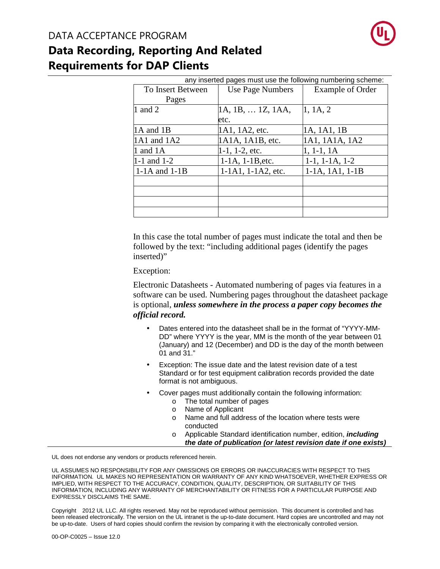

| any inserted pages must use the following numbering scheme: |                        |                         |  |  |
|-------------------------------------------------------------|------------------------|-------------------------|--|--|
| To Insert Between                                           | Use Page Numbers       | <b>Example of Order</b> |  |  |
| Pages                                                       |                        |                         |  |  |
| 1 and 2                                                     | 1A, 1B,  1Z, 1AA,      | 1, 1A, 2                |  |  |
|                                                             | etc.                   |                         |  |  |
| 1A and 1B                                                   | 1A1, 1A2, etc.         | 1A, 1A1, 1B             |  |  |
| 1A1 and 1A2                                                 | 1A1A, 1A1B, etc.       | 1A1, 1A1A, 1A2          |  |  |
| 1 and $1A$                                                  | $1-1$ , $1-2$ , etc.   | $1, 1-1, 1A$            |  |  |
| $1-1$ and $1-2$                                             | $1-1A$ , $1-1B$ , etc. | $1-1$ , $1-1A$ , $1-2$  |  |  |
| $1-1A$ and $1-1B$                                           | 1-1A1, 1-1A2, etc.     | $1-1A$ , $1A1$ , $1-1B$ |  |  |
|                                                             |                        |                         |  |  |
|                                                             |                        |                         |  |  |
|                                                             |                        |                         |  |  |
|                                                             |                        |                         |  |  |

In this case the total number of pages must indicate the total and then be followed by the text: "including additional pages (identify the pages inserted)"

Exception:

Electronic Datasheets - Automated numbering of pages via features in a software can be used. Numbering pages throughout the datasheet package is optional, *unless somewhere in the process a paper copy becomes the official record.* 

- Dates entered into the datasheet shall be in the format of "YYYY-MM-DD" where YYYY is the year, MM is the month of the year between 01 (January) and 12 (December) and DD is the day of the month between 01 and 31."
- Exception: The issue date and the latest revision date of a test Standard or for test equipment calibration records provided the date format is not ambiguous.
- Cover pages must additionally contain the following information:
	- o The total number of pages
	- o Name of Applicant
	- o Name and full address of the location where tests were conducted
	- o Applicable Standard identification number, edition, **including the date of publication (or latest revision date if one exists)**

UL does not endorse any vendors or products referenced herein.

UL ASSUMES NO RESPONSIBILITY FOR ANY OMISSIONS OR ERRORS OR INACCURACIES WITH RESPECT TO THIS INFORMATION. UL MAKES NO REPRESENTATION OR WARRANTY OF ANY KIND WHATSOEVER, WHETHER EXPRESS OR IMPLIED, WITH RESPECT TO THE ACCURACY, CONDITION, QUALITY, DESCRIPTION, OR SUITABILITY OF THIS INFORMATION, INCLUDING ANY WARRANTY OF MERCHANTABILITY OR FITNESS FOR A PARTICULAR PURPOSE AND EXPRESSLY DISCLAIMS THE SAME.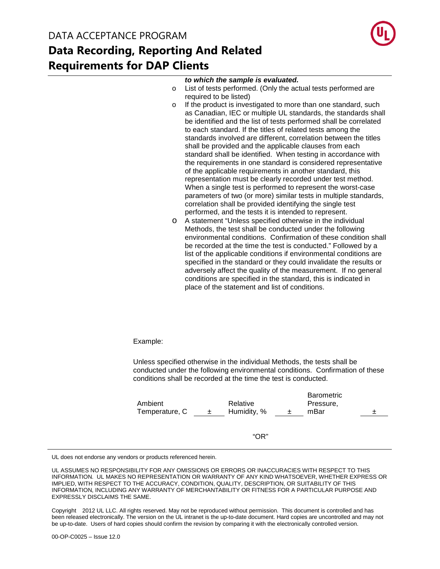

#### **to which the sample is evaluated.**

- o List of tests performed. (Only the actual tests performed are required to be listed)
- o If the product is investigated to more than one standard, such as Canadian, IEC or multiple UL standards, the standards shall be identified and the list of tests performed shall be correlated to each standard. If the titles of related tests among the standards involved are different, correlation between the titles shall be provided and the applicable clauses from each standard shall be identified. When testing in accordance with the requirements in one standard is considered representative of the applicable requirements in another standard, this representation must be clearly recorded under test method. When a single test is performed to represent the worst-case parameters of two (or more) similar tests in multiple standards, correlation shall be provided identifying the single test performed, and the tests it is intended to represent.
- o A statement "Unless specified otherwise in the individual Methods, the test shall be conducted under the following environmental conditions. Confirmation of these condition shall be recorded at the time the test is conducted." Followed by a list of the applicable conditions if environmental conditions are specified in the standard or they could invalidate the results or adversely affect the quality of the measurement. If no general conditions are specified in the standard, this is indicated in place of the statement and list of conditions.

Example:

Unless specified otherwise in the individual Methods, the tests shall be conducted under the following environmental conditions. Confirmation of these conditions shall be recorded at the time the test is conducted.

| Ambient<br>Temperature, C | $\pm$ | Relative<br>Humidity, % | $\pm$ | <b>Barometric</b><br>Pressure,<br>mBar | 土 |
|---------------------------|-------|-------------------------|-------|----------------------------------------|---|
|                           |       | " $OR$ "                |       |                                        |   |

UL does not endorse any vendors or products referenced herein.

UL ASSUMES NO RESPONSIBILITY FOR ANY OMISSIONS OR ERRORS OR INACCURACIES WITH RESPECT TO THIS INFORMATION. UL MAKES NO REPRESENTATION OR WARRANTY OF ANY KIND WHATSOEVER, WHETHER EXPRESS OR IMPLIED, WITH RESPECT TO THE ACCURACY, CONDITION, QUALITY, DESCRIPTION, OR SUITABILITY OF THIS INFORMATION, INCLUDING ANY WARRANTY OF MERCHANTABILITY OR FITNESS FOR A PARTICULAR PURPOSE AND EXPRESSLY DISCLAIMS THE SAME.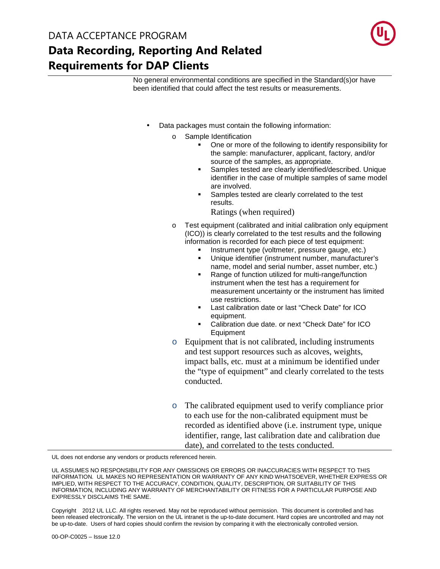

No general environmental conditions are specified in the Standard(s)or have been identified that could affect the test results or measurements.

- Data packages must contain the following information:
	- o Sample Identification
		- One or more of the following to identify responsibility for the sample: manufacturer, applicant, factory, and/or source of the samples, as appropriate.
		- Samples tested are clearly identified/described. Unique identifier in the case of multiple samples of same model are involved.
		- Samples tested are clearly correlated to the test results.
			- Ratings (when required)
	- o Test equipment (calibrated and initial calibration only equipment (ICO)) is clearly correlated to the test results and the following information is recorded for each piece of test equipment:
		- Instrument type (voltmeter, pressure gauge, etc.)
		- Unique identifier (instrument number, manufacturer's name, model and serial number, asset number, etc.)
		- Range of function utilized for multi-range/function instrument when the test has a requirement for measurement uncertainty or the instrument has limited use restrictions.
		- Last calibration date or last "Check Date" for ICO equipment.
		- Calibration due date. or next "Check Date" for ICO Equipment
	- o Equipment that is not calibrated, including instruments and test support resources such as alcoves, weights, impact balls, etc. must at a minimum be identified under the "type of equipment" and clearly correlated to the tests conducted.
	- o The calibrated equipment used to verify compliance prior to each use for the non-calibrated equipment must be recorded as identified above (i.e. instrument type, unique identifier, range, last calibration date and calibration due date), and correlated to the tests conducted.

UL does not endorse any vendors or products referenced herein.

UL ASSUMES NO RESPONSIBILITY FOR ANY OMISSIONS OR ERRORS OR INACCURACIES WITH RESPECT TO THIS INFORMATION. UL MAKES NO REPRESENTATION OR WARRANTY OF ANY KIND WHATSOEVER, WHETHER EXPRESS OR IMPLIED, WITH RESPECT TO THE ACCURACY, CONDITION, QUALITY, DESCRIPTION, OR SUITABILITY OF THIS INFORMATION, INCLUDING ANY WARRANTY OF MERCHANTABILITY OR FITNESS FOR A PARTICULAR PURPOSE AND EXPRESSLY DISCLAIMS THE SAME.

Copyright© 2012 UL LLC. All rights reserved. May not be reproduced without permission. This document is controlled and has been released electronically. The version on the UL intranet is the up-to-date document. Hard copies are uncontrolled and may not be up-to-date. Users of hard copies should confirm the revision by comparing it with the electronically controlled version.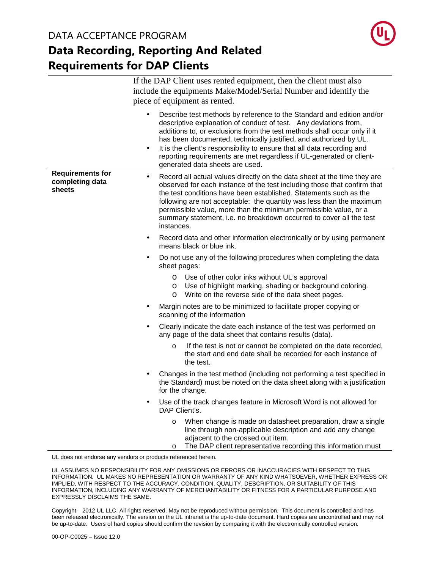

|                                                      | If the DAP Client uses rented equipment, then the client must also<br>include the equipments Make/Model/Serial Number and identify the<br>piece of equipment as rented.                                                                                                                                                                                                                                                                                                                       |
|------------------------------------------------------|-----------------------------------------------------------------------------------------------------------------------------------------------------------------------------------------------------------------------------------------------------------------------------------------------------------------------------------------------------------------------------------------------------------------------------------------------------------------------------------------------|
|                                                      | Describe test methods by reference to the Standard and edition and/or<br>descriptive explanation of conduct of test. Any deviations from,<br>additions to, or exclusions from the test methods shall occur only if it<br>has been documented, technically justified, and authorized by UL.<br>It is the client's responsibility to ensure that all data recording and<br>$\bullet$<br>reporting requirements are met regardless if UL-generated or client-<br>generated data sheets are used. |
| <b>Requirements for</b><br>completing data<br>sheets | Record all actual values directly on the data sheet at the time they are<br>$\bullet$<br>observed for each instance of the test including those that confirm that<br>the test conditions have been established. Statements such as the<br>following are not acceptable: the quantity was less than the maximum<br>permissible value, more than the minimum permissible value, or a<br>summary statement, i.e. no breakdown occurred to cover all the test<br>instances.                       |
|                                                      | Record data and other information electronically or by using permanent<br>$\bullet$<br>means black or blue ink.                                                                                                                                                                                                                                                                                                                                                                               |
|                                                      | Do not use any of the following procedures when completing the data<br>$\bullet$<br>sheet pages:                                                                                                                                                                                                                                                                                                                                                                                              |
|                                                      | O Use of other color inks without UL's approval<br>O Use of highlight marking, shading or background coloring.<br>Write on the reverse side of the data sheet pages.<br>$\circ$                                                                                                                                                                                                                                                                                                               |
|                                                      | Margin notes are to be minimized to facilitate proper copying or<br>$\bullet$<br>scanning of the information                                                                                                                                                                                                                                                                                                                                                                                  |
|                                                      | Clearly indicate the date each instance of the test was performed on<br>$\bullet$<br>any page of the data sheet that contains results (data).                                                                                                                                                                                                                                                                                                                                                 |
|                                                      | If the test is not or cannot be completed on the date recorded,<br>$\circ$<br>the start and end date shall be recorded for each instance of<br>the test.                                                                                                                                                                                                                                                                                                                                      |
|                                                      | Changes in the test method (including not performing a test specified in<br>$\bullet$<br>the Standard) must be noted on the data sheet along with a justification<br>for the change.                                                                                                                                                                                                                                                                                                          |
|                                                      | Use of the track changes feature in Microsoft Word is not allowed for<br>$\bullet$<br>DAP Client's.                                                                                                                                                                                                                                                                                                                                                                                           |
|                                                      | When change is made on datasheet preparation, draw a single<br>$\circ$<br>line through non-applicable description and add any change<br>adjacent to the crossed out item.<br>The DAP client representative recording this information must<br>O                                                                                                                                                                                                                                               |

UL does not endorse any vendors or products referenced herein.

UL ASSUMES NO RESPONSIBILITY FOR ANY OMISSIONS OR ERRORS OR INACCURACIES WITH RESPECT TO THIS INFORMATION. UL MAKES NO REPRESENTATION OR WARRANTY OF ANY KIND WHATSOEVER, WHETHER EXPRESS OR IMPLIED, WITH RESPECT TO THE ACCURACY, CONDITION, QUALITY, DESCRIPTION, OR SUITABILITY OF THIS INFORMATION, INCLUDING ANY WARRANTY OF MERCHANTABILITY OR FITNESS FOR A PARTICULAR PURPOSE AND EXPRESSLY DISCLAIMS THE SAME.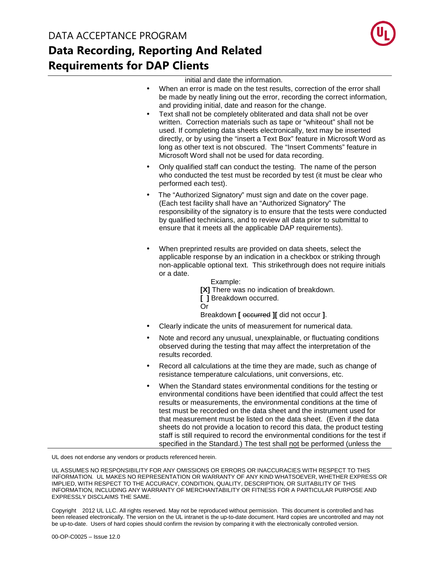

initial and date the information.

- When an error is made on the test results, correction of the error shall be made by neatly lining out the error, recording the correct information, and providing initial, date and reason for the change.
- Text shall not be completely obliterated and data shall not be over written. Correction materials such as tape or "whiteout" shall not be used. If completing data sheets electronically, text may be inserted directly, or by using the "insert a Text Box" feature in Microsoft Word as long as other text is not obscured. The "Insert Comments" feature in Microsoft Word shall not be used for data recording.
- Only qualified staff can conduct the testing. The name of the person who conducted the test must be recorded by test (it must be clear who performed each test).
- The "Authorized Signatory" must sign and date on the cover page. (Each test facility shall have an "Authorized Signatory" The responsibility of the signatory is to ensure that the tests were conducted by qualified technicians, and to review all data prior to submittal to ensure that it meets all the applicable DAP requirements).
- When preprinted results are provided on data sheets, select the applicable response by an indication in a checkbox or striking through non-applicable optional text. This strikethrough does not require initials or a date.

Example:

**[X]** There was no indication of breakdown. **[ ]** Breakdown occurred. Or

Breakdown **[** occurred **][** did not occur **]**.

- Clearly indicate the units of measurement for numerical data.
- Note and record any unusual, unexplainable, or fluctuating conditions observed during the testing that may affect the interpretation of the results recorded.
- Record all calculations at the time they are made, such as change of resistance temperature calculations, unit conversions, etc.
- When the Standard states environmental conditions for the testing or environmental conditions have been identified that could affect the test results or measurements, the environmental conditions at the time of test must be recorded on the data sheet and the instrument used for that measurement must be listed on the data sheet. (Even if the data sheets do not provide a location to record this data, the product testing staff is still required to record the environmental conditions for the test if specified in the Standard.) The test shall not be performed (unless the

UL does not endorse any vendors or products referenced herein.

UL ASSUMES NO RESPONSIBILITY FOR ANY OMISSIONS OR ERRORS OR INACCURACIES WITH RESPECT TO THIS INFORMATION. UL MAKES NO REPRESENTATION OR WARRANTY OF ANY KIND WHATSOEVER, WHETHER EXPRESS OR IMPLIED, WITH RESPECT TO THE ACCURACY, CONDITION, QUALITY, DESCRIPTION, OR SUITABILITY OF THIS INFORMATION, INCLUDING ANY WARRANTY OF MERCHANTABILITY OR FITNESS FOR A PARTICULAR PURPOSE AND EXPRESSLY DISCLAIMS THE SAME.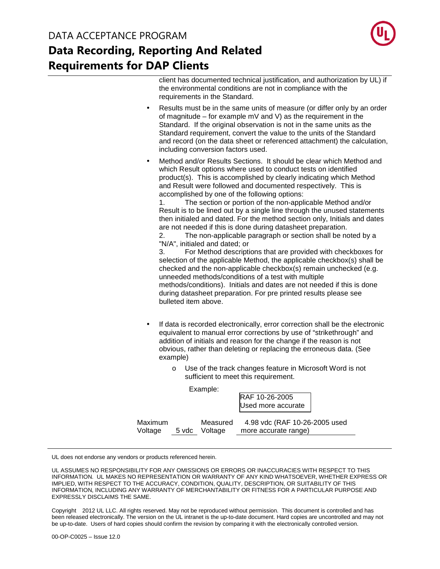

client has documented technical justification, and authorization by UL) if the environmental conditions are not in compliance with the requirements in the Standard.

- Results must be in the same units of measure (or differ only by an order of magnitude – for example mV and V) as the requirement in the Standard. If the original observation is not in the same units as the Standard requirement, convert the value to the units of the Standard and record (on the data sheet or referenced attachment) the calculation, including conversion factors used.
- Method and/or Results Sections. It should be clear which Method and which Result options where used to conduct tests on identified product(s). This is accomplished by clearly indicating which Method and Result were followed and documented respectively. This is accomplished by one of the following options:

1. The section or portion of the non-applicable Method and/or Result is to be lined out by a single line through the unused statements then initialed and dated. For the method section only, Initials and dates are not needed if this is done during datasheet preparation.

2. The non-applicable paragraph or section shall be noted by a "N/A", initialed and dated; or

3. For Method descriptions that are provided with checkboxes for selection of the applicable Method, the applicable checkbox(s) shall be checked and the non-applicable checkbox(s) remain unchecked (e.g. unneeded methods/conditions of a test with multiple methods/conditions). Initials and dates are not needed if this is done during datasheet preparation. For pre printed results please see bulleted item above.

- If data is recorded electronically, error correction shall be the electronic equivalent to manual error corrections by use of "strikethrough" and addition of initials and reason for the change if the reason is not obvious, rather than deleting or replacing the erroneous data. (See example)
	- o Use of the track changes feature in Microsoft Word is not sufficient to meet this requirement.

|                    | Example: |                           | RAF 10-26-2005<br>Used more accurate                  |  |
|--------------------|----------|---------------------------|-------------------------------------------------------|--|
| Maximum<br>Voltage |          | Measured<br>5 vdc Voltage | 4.98 vdc (RAF 10-26-2005 used<br>more accurate range) |  |

UL does not endorse any vendors or products referenced herein.

UL ASSUMES NO RESPONSIBILITY FOR ANY OMISSIONS OR ERRORS OR INACCURACIES WITH RESPECT TO THIS INFORMATION. UL MAKES NO REPRESENTATION OR WARRANTY OF ANY KIND WHATSOEVER, WHETHER EXPRESS OR IMPLIED, WITH RESPECT TO THE ACCURACY, CONDITION, QUALITY, DESCRIPTION, OR SUITABILITY OF THIS INFORMATION, INCLUDING ANY WARRANTY OF MERCHANTABILITY OR FITNESS FOR A PARTICULAR PURPOSE AND EXPRESSLY DISCLAIMS THE SAME.